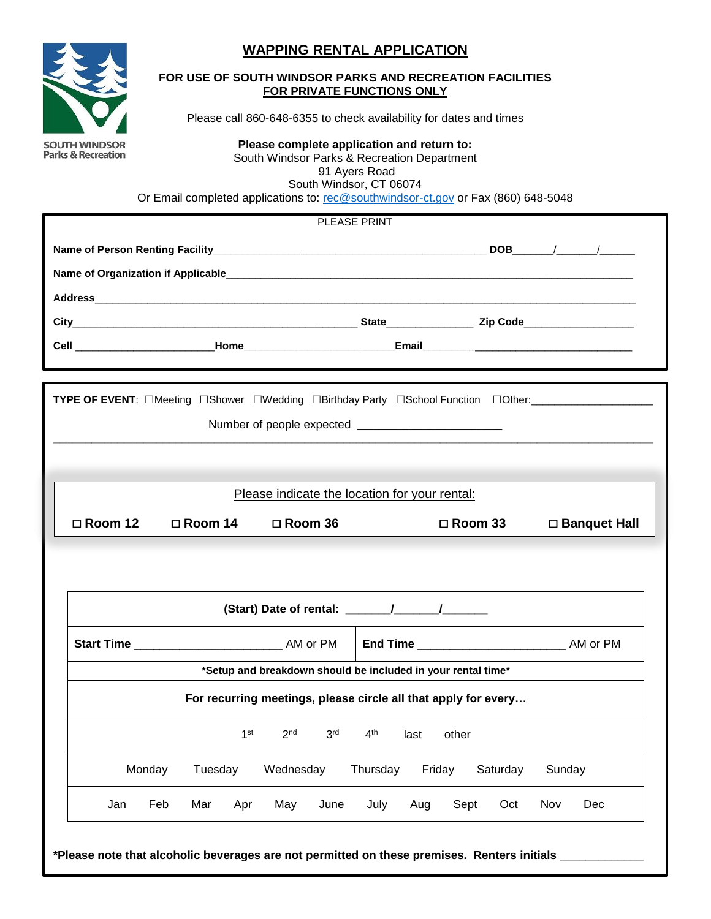# **WAPPING RENTAL APPLICATION**



### **FOR USE OF SOUTH WINDSOR PARKS AND RECREATION FACILITIES FOR PRIVATE FUNCTIONS ONLY**

Please call 860-648-6355 to check availability for dates and times

**Please complete application and return to:** South Windsor Parks & Recreation Department 91 Ayers Road South Windsor, CT 06074 Or Email completed applications to: [rec@southwindsor-ct.gov](mailto:rec@southwindsor-ct.gov) or Fax (860) 648-5048

**Name of Person Renting Facility\_\_\_\_\_\_\_\_\_\_\_\_\_\_\_\_\_\_\_\_\_\_\_\_\_\_\_\_\_\_\_\_\_\_\_\_\_\_\_\_\_\_\_\_\_\_\_ DOB**\_\_\_\_\_\_\_/\_\_\_\_\_\_\_/\_\_\_\_\_\_ **Name of Organization if Applicable**\_\_\_\_\_\_\_\_\_\_\_\_\_\_\_\_\_\_\_\_\_\_\_\_\_\_\_\_\_\_\_\_\_\_\_\_\_\_\_\_\_\_\_\_\_\_\_\_\_\_\_\_\_\_\_\_\_\_\_\_\_\_\_\_\_\_\_\_\_\_ **Address**\_\_\_\_\_\_\_\_\_\_\_\_\_\_\_\_\_\_\_\_\_\_\_\_\_\_\_\_\_\_\_\_\_\_\_\_\_\_\_\_\_\_\_\_\_\_\_\_\_\_\_\_\_\_\_\_\_\_\_\_\_\_\_\_\_\_\_\_\_\_\_\_\_\_\_\_\_\_\_\_\_\_\_\_\_\_\_\_\_\_\_\_\_ **City**\_\_\_\_\_\_\_\_\_\_\_\_\_\_\_\_\_\_\_\_\_\_\_\_\_\_\_\_\_\_\_\_\_\_\_\_\_\_\_\_\_\_\_\_\_\_\_\_\_ **State**\_\_\_\_\_\_\_\_\_\_\_\_\_\_\_ **Zip Code**\_\_\_\_\_\_\_\_\_\_\_\_\_\_\_\_\_\_\_ **Cell** \_\_\_\_\_\_\_\_\_\_\_\_\_\_\_\_\_\_\_\_\_\_\_\_**Home\_\_\_\_\_\_\_\_\_\_\_\_\_\_\_\_\_\_\_\_\_\_\_\_\_\_Email\_\_\_\_\_\_\_\_\_**\_\_\_\_\_\_\_\_\_\_\_\_\_\_\_\_\_\_\_\_\_\_\_\_\_\_\_ PLEASE PRINT **TYPE OF EVENT**: **□**Meeting **□**Shower **□**Wedding **□**Birthday Party **□**School Function **□**Other:\_\_\_\_\_\_\_\_\_\_\_\_\_\_\_\_\_\_\_\_\_ Number of people expected \_\_\_\_\_\_\_\_\_\_\_\_\_\_\_\_\_\_\_\_\_\_\_\_\_\_\_\_ **\_\_\_\_\_\_\_\_\_\_\_\_\_\_\_\_\_\_\_\_\_\_\_\_\_\_\_\_\_\_\_\_\_\_\_\_\_\_\_\_\_\_\_\_\_\_\_\_\_\_\_\_\_\_\_\_\_\_\_\_\_\_\_\_\_\_\_\_\_\_\_\_\_\_\_\_\_\_\_\_\_\_\_\_\_\_\_\_\_\_\_\_\_ (Start) Date of rental: \_\_\_\_\_\_\_/\_\_\_\_\_\_\_/\_\_\_\_\_\_\_ Start Time** \_\_\_\_\_\_\_\_\_\_\_\_\_\_\_\_\_\_\_\_\_\_\_ AM or PM **End Time** \_\_\_\_\_\_\_\_\_\_\_\_\_\_\_\_\_\_\_\_\_\_\_ AM or PM **\*Setup and breakdown should be included in your rental time\* For recurring meetings, please circle all that apply for every…** 1 st  $2<sup>nd</sup>$  3  $3<sup>rd</sup>$ 4<sup>th</sup> last other Monday Tuesday Wednesday Thursday Friday Saturday Sunday Jan Feb Mar Apr May June July Aug Sept Oct Nov Dec Please indicate the location for your rental:  **Room 12 Room 14 Room 36 Room 33 Banquet Hall**

**\*Please note that alcoholic beverages are not permitted on these premises. Renters initials \_\_\_\_\_\_\_\_\_\_\_\_\_**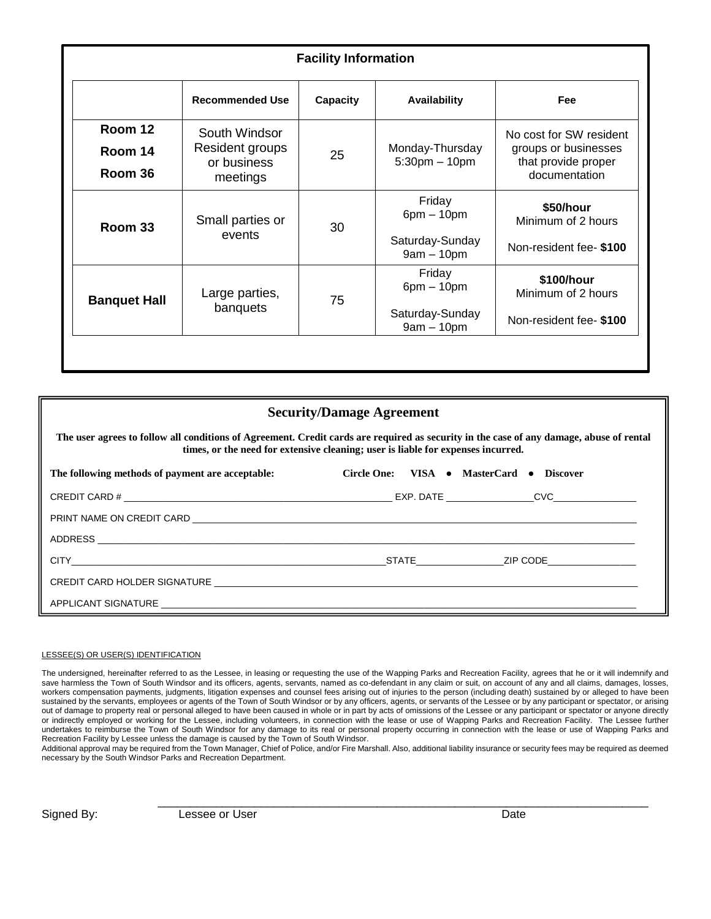| <b>Facility Information</b> |                                |          |                                       |                                                                                         |  |  |
|-----------------------------|--------------------------------|----------|---------------------------------------|-----------------------------------------------------------------------------------------|--|--|
|                             | <b>Recommended Use</b>         | Capacity | <b>Availability</b>                   | Fee                                                                                     |  |  |
| Room 12                     | South Windsor                  |          | Monday-Thursday<br>$5:30$ pm $-10$ pm | No cost for SW resident<br>groups or businesses<br>that provide proper<br>documentation |  |  |
| Room 14                     | Resident groups<br>or business | 25       |                                       |                                                                                         |  |  |
| Room 36                     | meetings                       |          |                                       |                                                                                         |  |  |
| Room 33                     | Small parties or<br>events     | 30       | Friday<br>$6pm - 10pm$                | \$50/hour<br>Minimum of 2 hours                                                         |  |  |
|                             |                                |          | Saturday-Sunday<br>$9am - 10pm$       | Non-resident fee- \$100                                                                 |  |  |
| <b>Banquet Hall</b>         | Large parties,<br>banquets     | 75       | Friday<br>$6pm - 10pm$                | \$100/hour<br>Minimum of 2 hours                                                        |  |  |
|                             |                                |          | Saturday-Sunday<br>$9am - 10pm$       | Non-resident fee- \$100                                                                 |  |  |
|                             |                                |          |                                       |                                                                                         |  |  |

## **Security/Damage Agreement**

**The user agrees to follow all conditions of Agreement. Credit cards are required as security in the case of any damage, abuse of rental times, or the need for extensive cleaning; user is liable for expenses incurred.**

| The following methods of payment are acceptable: | Circle One: VISA • MasterCard • Discover |                |  |
|--------------------------------------------------|------------------------------------------|----------------|--|
|                                                  |                                          |                |  |
|                                                  |                                          |                |  |
|                                                  |                                          |                |  |
|                                                  |                                          | STATE ZIP CODE |  |
|                                                  |                                          |                |  |
|                                                  |                                          |                |  |

#### LESSEE(S) OR USER(S) IDENTIFICATION

The undersigned, hereinafter referred to as the Lessee, in leasing or requesting the use of the Wapping Parks and Recreation Facility, agrees that he or it will indemnify and save harmless the Town of South Windsor and its officers, agents, servants, named as co-defendant in any claim or suit, on account of any and all claims, damages, losses, workers compensation payments, judgments, litigation expenses and counsel fees arising out of injuries to the person (including death) sustained by or alleged to have been sustained by the servants, employees or agents of the Town of South Windsor or by any officers, agents, or servants of the Lessee or by any participant or spectator, or arising out of damage to property real or personal alleged to have been caused in whole or in part by acts of omissions of the Lessee or any participant or spectator or anyone directly or indirectly employed or working for the Lessee, including volunteers, in connection with the lease or use of Wapping Parks and Recreation Facility. The Lessee further undertakes to reimburse the Town of South Windsor for any damage to its real or personal property occurring in connection with the lease or use of Wapping Parks and Recreation Facility by Lessee unless the damage is caused by the Town of South Windsor.

Additional approval may be required from the Town Manager, Chief of Police, and/or Fire Marshall. Also, additional liability insurance or security fees may be required as deemed necessary by the South Windsor Parks and Recreation Department.

\_\_\_\_\_\_\_\_\_\_\_\_\_\_\_\_\_\_\_\_\_\_\_\_\_\_\_\_\_\_\_\_\_\_\_\_\_\_\_\_\_\_\_\_\_\_\_\_\_\_\_\_\_\_\_\_\_\_\_\_\_\_\_\_\_\_\_\_\_\_\_\_\_\_\_\_

Signed By: Contract Lessee or User Contract Contract Date Date Date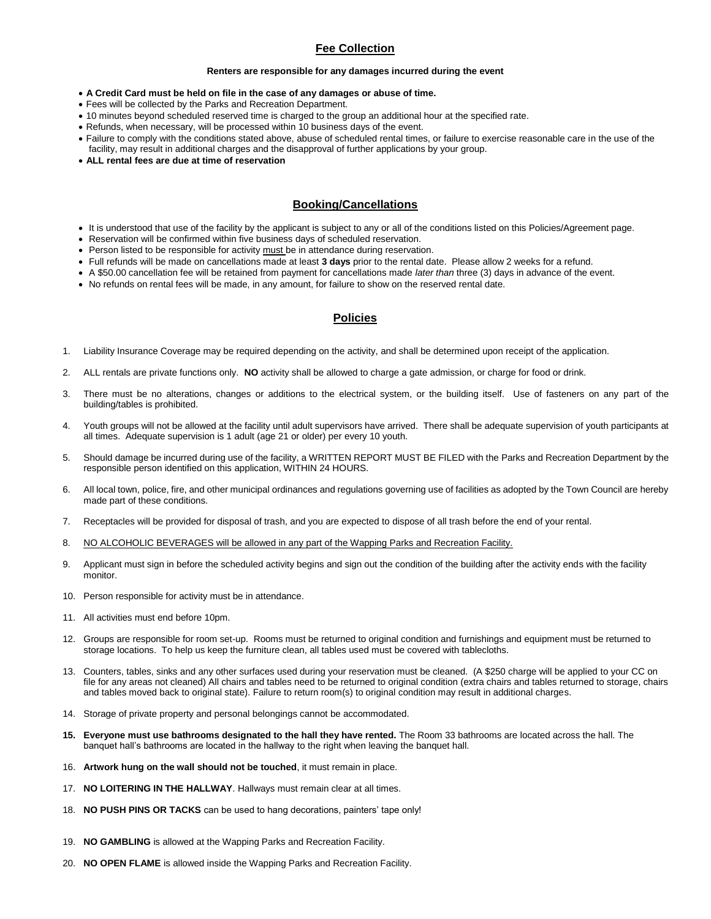### **Fee Collection**

#### **Renters are responsible for any damages incurred during the event**

- **A Credit Card must be held on file in the case of any damages or abuse of time.**
- Fees will be collected by the Parks and Recreation Department.
- 10 minutes beyond scheduled reserved time is charged to the group an additional hour at the specified rate.
- Refunds, when necessary, will be processed within 10 business days of the event.
- Failure to comply with the conditions stated above, abuse of scheduled rental times, or failure to exercise reasonable care in the use of the facility, may result in additional charges and the disapproval of further applications by your group.
- **ALL rental fees are due at time of reservation**

#### **Booking/Cancellations**

- It is understood that use of the facility by the applicant is subject to any or all of the conditions listed on this Policies/Agreement page.
- Reservation will be confirmed within five business days of scheduled reservation.
- Person listed to be responsible for activity must be in attendance during reservation.
- Full refunds will be made on cancellations made at least **3 days** prior to the rental date. Please allow 2 weeks for a refund.
- A \$50.00 cancellation fee will be retained from payment for cancellations made *later than* three (3) days in advance of the event.
- No refunds on rental fees will be made, in any amount, for failure to show on the reserved rental date.

#### **Policies**

- 1. Liability Insurance Coverage may be required depending on the activity, and shall be determined upon receipt of the application.
- 2. ALL rentals are private functions only. **NO** activity shall be allowed to charge a gate admission, or charge for food or drink.
- 3. There must be no alterations, changes or additions to the electrical system, or the building itself. Use of fasteners on any part of the building/tables is prohibited.
- 4. Youth groups will not be allowed at the facility until adult supervisors have arrived. There shall be adequate supervision of youth participants at all times. Adequate supervision is 1 adult (age 21 or older) per every 10 youth.
- 5. Should damage be incurred during use of the facility, a WRITTEN REPORT MUST BE FILED with the Parks and Recreation Department by the responsible person identified on this application, WITHIN 24 HOURS.
- 6. All local town, police, fire, and other municipal ordinances and regulations governing use of facilities as adopted by the Town Council are hereby made part of these conditions.
- 7. Receptacles will be provided for disposal of trash, and you are expected to dispose of all trash before the end of your rental.
- 8. NO ALCOHOLIC BEVERAGES will be allowed in any part of the Wapping Parks and Recreation Facility.
- 9. Applicant must sign in before the scheduled activity begins and sign out the condition of the building after the activity ends with the facility monitor.
- 10. Person responsible for activity must be in attendance.
- 11. All activities must end before 10pm.
- 12. Groups are responsible for room set-up. Rooms must be returned to original condition and furnishings and equipment must be returned to storage locations. To help us keep the furniture clean, all tables used must be covered with tablecloths.
- 13. Counters, tables, sinks and any other surfaces used during your reservation must be cleaned. (A \$250 charge will be applied to your CC on file for any areas not cleaned) All chairs and tables need to be returned to original condition (extra chairs and tables returned to storage, chairs and tables moved back to original state). Failure to return room(s) to original condition may result in additional charges.
- 14. Storage of private property and personal belongings cannot be accommodated.
- **15. Everyone must use bathrooms designated to the hall they have rented.** The Room 33 bathrooms are located across the hall. The banquet hall's bathrooms are located in the hallway to the right when leaving the banquet hall.
- 16. **Artwork hung on the wall should not be touched**, it must remain in place.
- 17. **NO LOITERING IN THE HALLWAY**. Hallways must remain clear at all times.
- 18. **NO PUSH PINS OR TACKS** can be used to hang decorations, painters' tape only!
- 19. **NO GAMBLING** is allowed at the Wapping Parks and Recreation Facility.
- 20. **NO OPEN FLAME** is allowed inside the Wapping Parks and Recreation Facility.